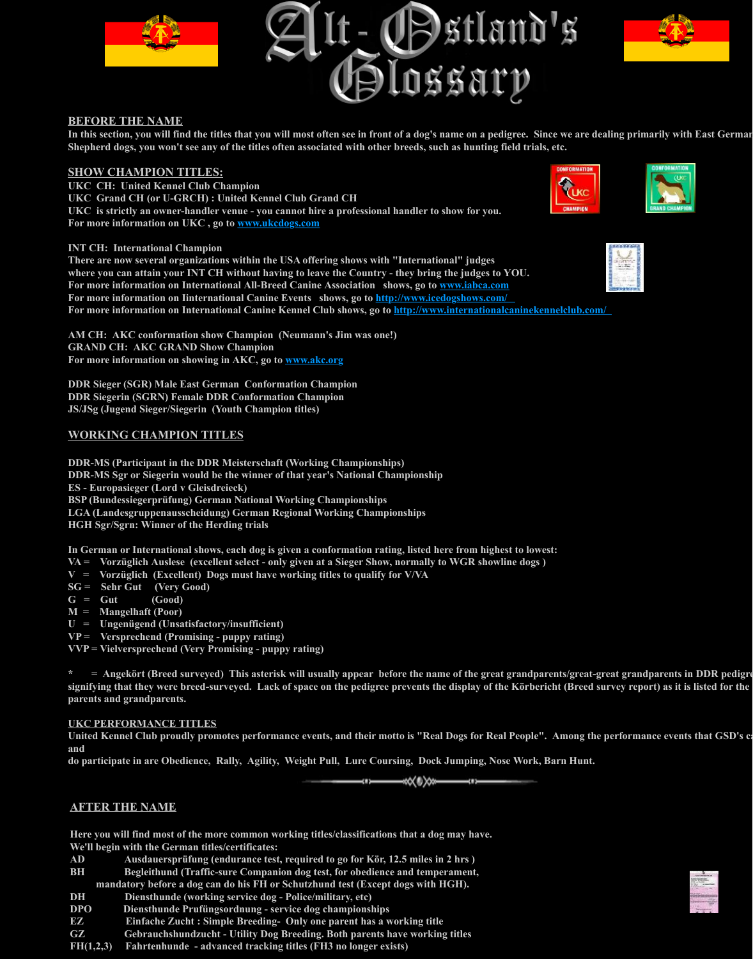**DDR-MS (Participant in the DDR Meisterschaft (Working Championships) DDR-MS Sgr or Siegerin would be the winner of that year's National Charm ES - Europasieger (Lord v Gleisdreieck)**

**BSP (Bundessiegerprüfung) German National Working Championships LGA (Landesgruppenausscheidung) German Regional Working Champion HGH Sgr/Sgrn: Winner of the Herding trials**

In German or International shows, each dog is given a conformation rating

- **VA** = Vorzüglich Auslese (excellent select only given at a Sieger Show, no
- $V = V$ orzüglich (Excellent) Dogs must have working titles to qualify for
- **SG = Sehr Gut (Very Good)**
- $G = Gut$  (Good)
- **M = Mangelhaft (Poor)**
- **U = Ungenügend (Unsatisfactory/insufficient)**
- **VP = Versprechend (Promising puppy rating)**
- **VVP = Vielversprechend (Very Promising puppy rating)**

\*  $=$  **Angekört (Breed surveyed) T[his asterisk will usu](http://www.ukcdogs.com/)ally appear before**  $\epsilon$ **signifying that they were breed-surveyed. Lack of space on the pedigree pi parents and grandparents.**

### **UKC PERFORMANCE TITLES**

United Kennel Club proudly promotes performance events, and their mott **and** 

do participate in are Obedience, Rally, Agility, Weight Pull, Lure Coursi

ł

# **AFTER THE NAME**

Here you will find most of the more common working titles/classifications **We'll begin with the German titles/certificates:**

- AD Ausdauersprüfung (endurance test, required to go for Kör, 12.
- **BH** Begleithund (Traffic-sure Companion dog test, for obedience a mandatory before a dog can do his FH or Schutzhund test (Except d
- **DH Diensthunde (working service dog Police/military, etc)**
- **DPO Diensthunde Prufüngsordnung service dog championships**
- **EZ** Einfache Zucht : Simple Breeding- Only one parent has a wo
- **GZ** Gebrauchshundzucht Utility Dog Breeding. Both parents have
- **FH(1,2,3) Fahrtenhunde advanced tracking titles (FH3 no longer exists)**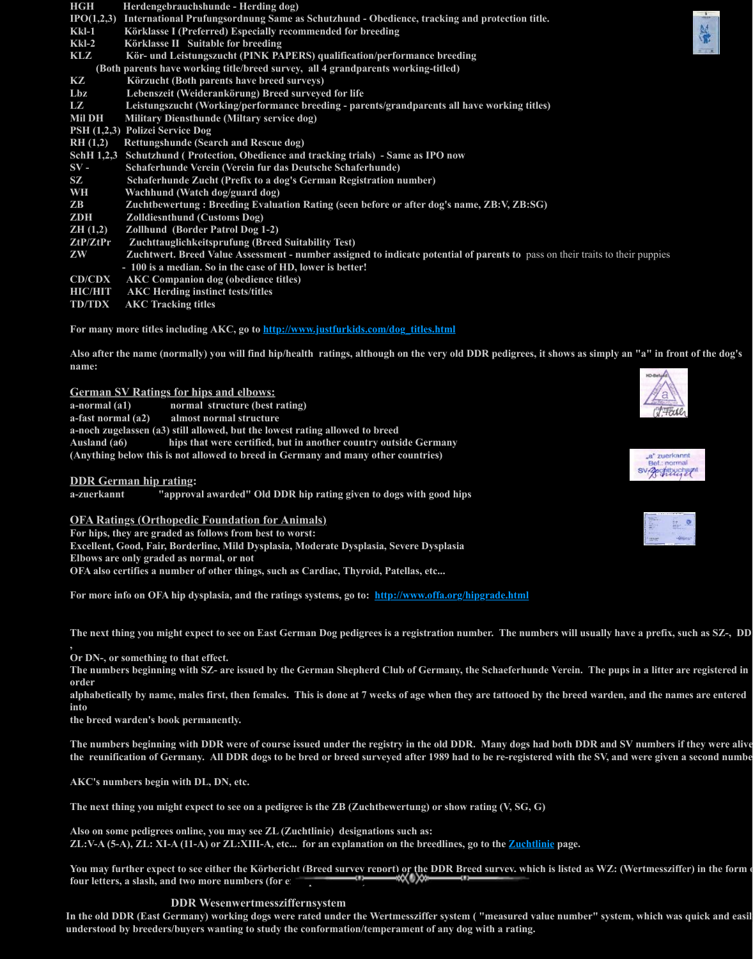**Ausland (a6) hips that were certified, but in another country outside Germany (Anything below this is not allowed to breed in Germany and many other or** 

# **DDR German hip rating:**

a-zuerkannt "approval awarded" Old DDR hip rating given to dog

# **OFA Ratings (Orthopedic Foundation for Animals)**

**For hips, they are graded as follows from best to worst: Excellent, Good, Fair, Borderline, Mild Dysplasia, Moderate Dysplasia, Se Elbows are only graded as normal, or not OFA also certifies a number of other things, such as Cardiac, Thyroid, Pat** 

For more info on OFA hip dysplasia, and the ratings systems, go to: http:/

The next thing you might expect to see on East German Dog pedigrees is a **,** 

**Or DN-, or something to that effect.** 

The numbers beginning with SZ- are issued by the German Shepherd Clu<sup>1</sup> **order** 

alphabetically by name, males first, then females. This is done at 7 weeks **into** 

**the breed warden's book permanently.**

The numbers beginning with DDR were of course issued under the registr the reunification of Germany. All DDR dogs to be bred or breed surveyed

**AKC's numbers begin with DL, DN, etc.**

The next thing you might expect to see on a pedigree is the ZB (Zuchtbewertung)

Also on some pedigrees online, you may see **ZL** (Zuchtlinie) designations s **ZL:V-A (5-A), ZL: XI-A (11-A) or ZL:XIII-A, etc... for an explanation on** 

You may further expect to see either the Körbericht (Breed survey report) **four letters, a slash, and two more numbers (for example: 5445)** 

# **DDR Wesenwertmessziffernsystem**

In the old DDR (East Germany) working dogs were rated under the Wertm understood by breeders/buyers wanting to study the conformation/tempera